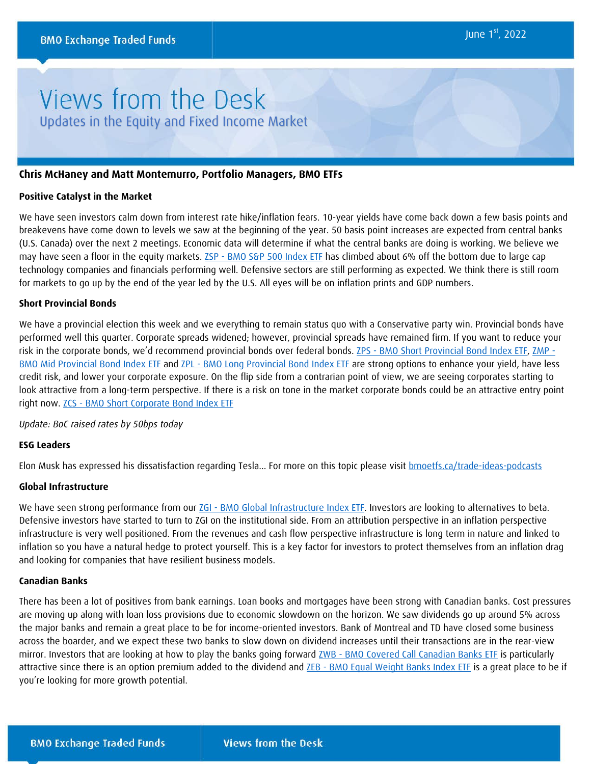# Views from the Desk Updates in the Equity and Fixed Income Market

#### **Chris McHaney and Matt Montemurro, Portfolio Managers, BMO ETFs**

#### **Positive Catalyst in the Market**

We have seen investors calm down from interest rate hike/inflation fears. 10-year yields have come back down a few basis points and breakevens have come down to levels we saw at the beginning of the year. 50 basis point increases are expected from central banks (U.S. Canada) over the next 2 meetings. Economic data will determine if what the central banks are doing is working. We believe we may have seen a floor in the equity markets. ZSP - [BMO S&P 500 Index ETF](https://www.bmo.com/gam/ca/advisor/products/etfs?fundUrl=/fundProfile/ZSP#fundUrl=%2FfundProfile%2FZSP) has climbed about 6% off the bottom due to large cap technology companies and financials performing well. Defensive sectors are still performing as expected. We think there is still room for markets to go up by the end of the year led by the U.S. All eyes will be on inflation prints and GDP numbers.

#### **Short Provincial Bonds**

We have a provincial election this week and we everything to remain status quo with a Conservative party win. Provincial bonds have performed well this quarter. Corporate spreads widened; however, provincial spreads have remained firm. If you want to reduce your risk in the corporate bonds, we'd recommend provincial bonds over federal bonds. ZPS - [BMO Short Provincial Bond Index ETF,](https://www.bmo.com/gam/ca/advisor/products/etfs?fundUrl=/fundProfile/ZPS#fundUrl=%2FfundProfile%2FZPS) [ZMP -](https://www.bmo.com/gam/ca/advisor/products/etfs?fundUrl=/fundProfile/ZMP#fundUrl=%2FfundProfile%2FZMP) [BMO Mid Provincial Bond Index ETF](https://www.bmo.com/gam/ca/advisor/products/etfs?fundUrl=/fundProfile/ZMP#fundUrl=%2FfundProfile%2FZMP) and ZPL - [BMO Long Provincial Bond Index ETF](https://www.bmo.com/gam/ca/advisor/products/etfs?fundUrl=/fundProfile/ZPL#fundUrl=%2FfundProfile%2FZPL) are strong options to enhance your yield, have less credit risk, and lower your corporate exposure. On the flip side from a contrarian point of view, we are seeing corporates starting to look attractive from a long-term perspective. If there is a risk on tone in the market corporate bonds could be an attractive entry point right now. ZCS - [BMO Short Corporate Bond Index ETF](https://www.bmo.com/gam/ca/advisor/products/etfs?fundUrl=/fundProfile/ZCS#fundUrl=%2FfundProfile%2FZCS)

#### *Update: BoC raised rates by 50bps today*

### **ESG Leaders**

Elon Musk has expressed his dissatisfaction regarding Tesla... For more on this topic please visit [bmoetfs.ca/trade-ideas-podcasts](https://www.bmoetfs.ca/trade-ideas-podcasts)

#### **Global Infrastructure**

We have seen strong performance from our ZGI - [BMO Global Infrastructure Index ETF.](https://www.bmo.com/gam/ca/advisor/products/etfs?fundUrl=/fundProfile/ZGI#fundUrl=%2FfundProfile%2FZGI) Investors are looking to alternatives to beta. Defensive investors have started to turn to ZGI on the institutional side. From an attribution perspective in an inflation perspective infrastructure is very well positioned. From the revenues and cash flow perspective infrastructure is long term in nature and linked to inflation so you have a natural hedge to protect yourself. This is a key factor for investors to protect themselves from an inflation drag and looking for companies that have resilient business models.

#### **Canadian Banks**

There has been a lot of positives from bank earnings. Loan books and mortgages have been strong with Canadian banks. Cost pressures are moving up along with loan loss provisions due to economic slowdown on the horizon. We saw dividends go up around 5% across the major banks and remain a great place to be for income-oriented investors. Bank of Montreal and TD have closed some business across the boarder, and we expect these two banks to slow down on dividend increases until their transactions are in the rear-view mirror. Investors that are looking at how to play the banks going forward ZWB - [BMO Covered Call Canadian Banks ETF](https://www.bmo.com/gam/ca/advisor/products/etfs?fundUrl=/fundProfile/ZWB#fundUrl=%2FfundProfile%2FZWB) is particularly attractive since there is an option premium added to the dividend and ZEB - [BMO Equal Weight Banks Index ETF](https://www.bmo.com/gam/ca/advisor/products/etfs?fundUrl=/fundProfile/ZEB#fundUrl=%2FfundProfile%2FZEB) is a great place to be if you're looking for more growth potential.